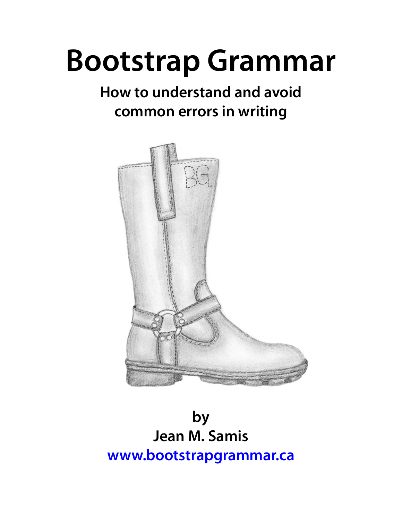# **Bootstrap Grammar**

# **How to understand and avoid common errors in writing**



**by Jean M. Samis [www.bootstrapgrammar.ca](http://BootstrapGrammar.ca)**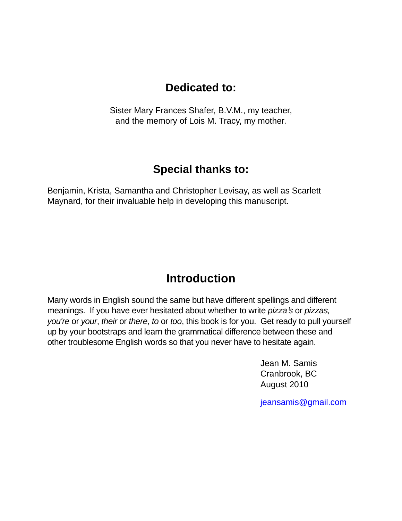# **Dedicated to:**

Sister Mary Frances Shafer, B.V.M., my teacher, and the memory of Lois M. Tracy, my mother.

# **Special thanks to:**

Benjamin, Krista, Samantha and Christopher Levisay, as well as Scarlett Maynard, for their invaluable help in developing this manuscript.

# **Introduction**

Many words in English sound the same but have different spellings and different meanings. If you have ever hesitated about whether to write *pizza*'*s* or *pizzas, you're* or *your*, *their* or *there*, *to* or *too*, this book is for you. Get ready to pull yourself up by your bootstraps and learn the grammatical difference between these and other troublesome English words so that you never have to hesitate again.

> Jean M. Samis Cranbrook, BC August 2010

ieansamis@gmail.com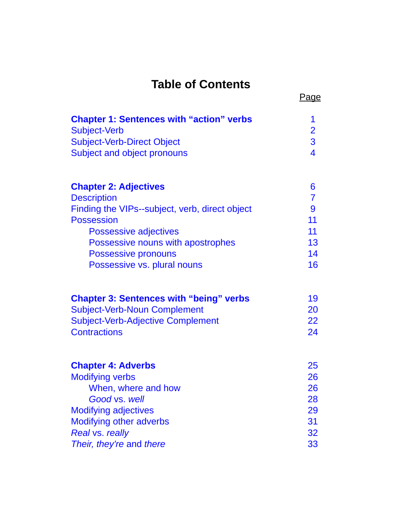# **Table of Contents**

| <b>Chapter 1: Sentences with "action" verbs</b><br><b>Subject-Verb</b><br><b>Subject-Verb-Direct Object</b><br>Subject and object pronouns | 1<br>$\overline{2}$<br>$\overline{3}$<br>$\overline{4}$ |
|--------------------------------------------------------------------------------------------------------------------------------------------|---------------------------------------------------------|
| <b>Chapter 2: Adjectives</b>                                                                                                               | 6                                                       |
| <b>Description</b>                                                                                                                         | $\overline{7}$                                          |
| Finding the VIPs--subject, verb, direct object                                                                                             | 9                                                       |
| <b>Possession</b>                                                                                                                          | 11                                                      |
| <b>Possessive adjectives</b>                                                                                                               | 11                                                      |
| Possessive nouns with apostrophes                                                                                                          | 13                                                      |
| <b>Possessive pronouns</b>                                                                                                                 | 14<br>16                                                |
| Possessive vs. plural nouns                                                                                                                |                                                         |
| <b>Chapter 3: Sentences with "being" verbs</b>                                                                                             | 19                                                      |
| <b>Subject-Verb-Noun Complement</b>                                                                                                        | 20                                                      |
| <b>Subject-Verb-Adjective Complement</b>                                                                                                   | 22                                                      |
| <b>Contractions</b>                                                                                                                        | 24                                                      |
| <b>Chapter 4: Adverbs</b>                                                                                                                  | 25                                                      |
| <b>Modifying verbs</b>                                                                                                                     | 26                                                      |
| When, where and how                                                                                                                        | 26                                                      |
| Good vs. well                                                                                                                              | 28                                                      |
| <b>Modifying adjectives</b>                                                                                                                | 29                                                      |
| <b>Modifying other adverbs</b>                                                                                                             | 31                                                      |
| Real vs. really                                                                                                                            | 32                                                      |
| Their, they're and there                                                                                                                   | 33                                                      |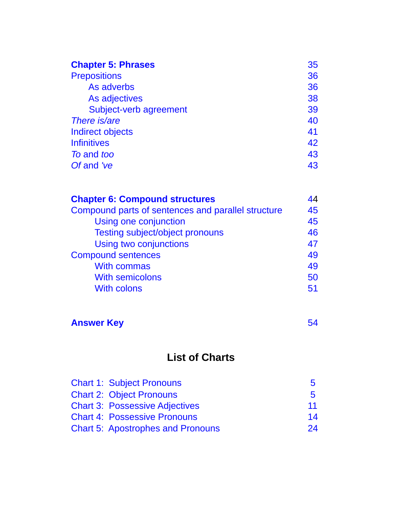| <b>Chapter 5: Phrases</b> | 35 |
|---------------------------|----|
| <b>Prepositions</b>       | 36 |
| As adverbs                | 36 |
| As adjectives             | 38 |
| Subject-verb agreement    | 39 |
| There <i>is/are</i>       | 40 |
| <b>Indirect objects</b>   | 41 |
| <b>Infinitives</b>        | 42 |
| To and too                | 43 |
| Of and 've                | 43 |

| 44 |
|----|
| 45 |
| 45 |
| 46 |
| 47 |
| 49 |
| 49 |
| 50 |
| 51 |
|    |

# **Answer Key 2008 19:30 19:30 19:30 19:30 19:30 19:30 19:30 19:30 19:30 19:30 19:30 19:30 19:30 19:30 19:30 19:30 19:30 19:30 19:30 19:30 19:30 19:30 19:30 19:30 19:30 19:30 19:30 19:30 19:30 19:30 19:30 19:30 19:30 19:30 1**

# **List of Charts**

| <b>Chart 1: Subject Pronouns</b>         | $\mathbf{b}$ |
|------------------------------------------|--------------|
| <b>Chart 2: Object Pronouns</b>          | 5            |
| <b>Chart 3: Possessive Adjectives</b>    | 11           |
| <b>Chart 4: Possessive Pronouns</b>      | 14           |
| <b>Chart 5: Apostrophes and Pronouns</b> | 24           |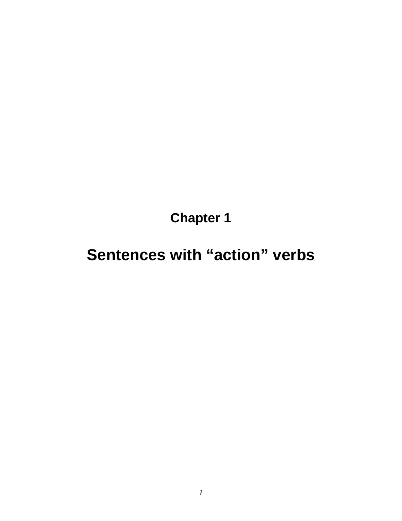**Chapter 1**

# <span id="page-4-0"></span>**Sentences with "action" verbs**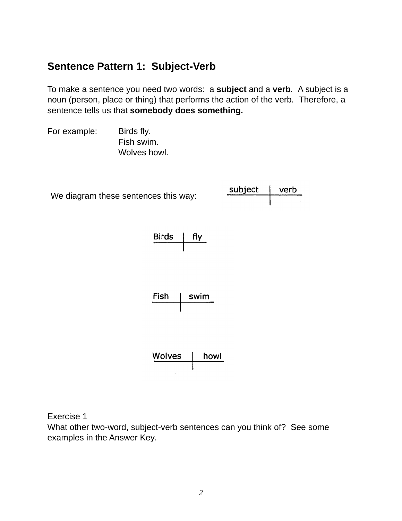# <span id="page-5-0"></span>**Sentence Pattern 1: Subject-Verb**

To make a sentence you need two words: a **subject** and a **verb***.* A subject is a noun (person, place or thing) that performs the action of the verb*.* Therefore, a sentence tells us that **somebody does something.**

For example: Birds fly. Fish swim. Wolves howl.



Exercise 1

What other two-word, subject-verb sentences can you think of? See some examples in the Answer Key.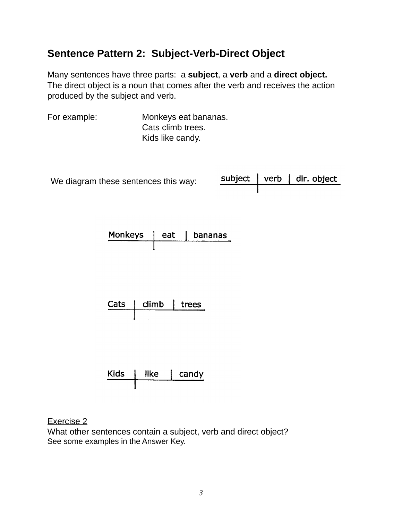# <span id="page-6-0"></span>**Sentence Pattern 2: Subject-Verb-Direct Object**

Many sentences have three parts: a **subject**, a **verb** and a **direct object.** The direct object is a noun that comes after the verb and receives the action produced by the subject and verb.

For example: Monkeys eat bananas. Cats climb trees. Kids like candy.

We diagram these sentences this way:

subject verb | dir. object

| <b>Monkeys</b> | eat | I bananas |
|----------------|-----|-----------|
|                |     |           |

| Cats | climb | trees |
|------|-------|-------|
|      |       |       |

| <b>Kids</b> | like | candy |
|-------------|------|-------|
|             |      |       |

Exercise 2

What other sentences contain a subject, verb and direct object? See some examples in the Answer Key.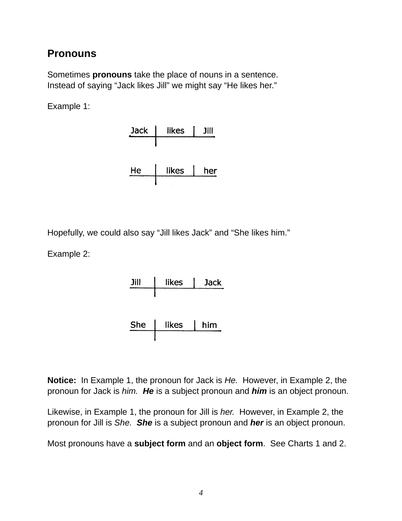## <span id="page-7-0"></span>**Pronouns**

Sometimes **pronouns** take the place of nouns in a sentence. Instead of saying "Jack likes Jill" we might say "He likes her."

Example 1:



Hopefully, we could also say "Jill likes Jack" and "She likes him."

Example 2:



**Notice:** In Example 1, the pronoun for Jack is *He.* However, in Example 2, the pronoun for Jack is *him. He* is a subject pronoun and *him* is an object pronoun.

Likewise, in Example 1, the pronoun for Jill is *her.* However, in Example 2, the pronoun for Jill is *She. She* is a subject pronoun and *her* is an object pronoun.

Most pronouns have a **subject form** and an **object form**. See Charts 1 and 2.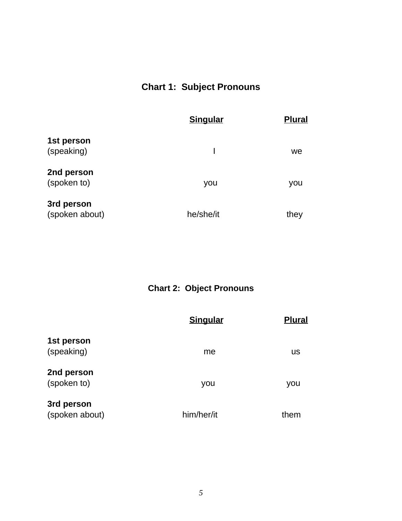# **Chart 1: Subject Pronouns**

<span id="page-8-0"></span>

|                | <b>Singular</b> | <b>Plural</b> |
|----------------|-----------------|---------------|
| 1st person     |                 |               |
| (speaking)     |                 | we            |
| 2nd person     |                 |               |
| (spoken to)    | you             | you           |
| 3rd person     |                 |               |
| (spoken about) | he/she/it       | they          |

**Chart 2: Object Pronouns**

|                              | <b>Singular</b> | <b>Plural</b> |
|------------------------------|-----------------|---------------|
| 1st person<br>(speaking)     | me              | us            |
| 2nd person<br>(spoken to)    | you             | you           |
| 3rd person<br>(spoken about) | him/her/it      | them          |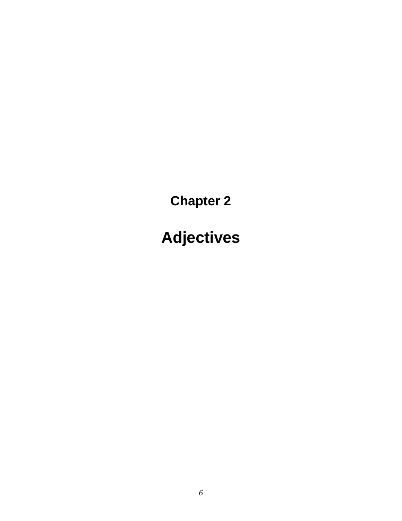<span id="page-9-0"></span>**Chapter 2**

**Adjectives**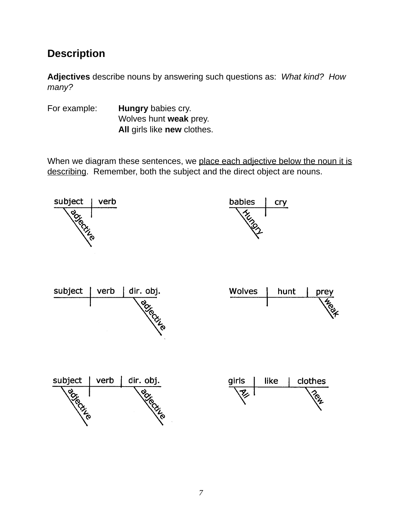# <span id="page-10-0"></span>**Description**

**Adjectives** describe nouns by answering such questions as: *What kind? How many?*

For example: **Hungry** babies cry. ! ! ! Wolves hunt **weak** prey. All girls like **new** clothes.

When we diagram these sentences, we place each adjective below the noun it is describing. Remember, both the subject and the direct object are nouns.

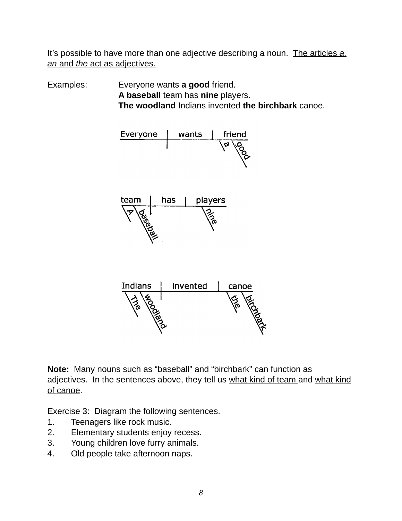It's possible to have more than one adjective describing a noun. The articles *a, an* and *the* act as adjectives.

Examples: Everyone wants **a good** friend. !!! **A baseball** team has **nine** players. **!!! The woodland** Indians invented **the birchbark** canoe.



**Note:** Many nouns such as "baseball" and "birchbark" can function as adjectives. In the sentences above, they tell us what kind of team and what kind of canoe.

Exercise 3: Diagram the following sentences.

- 1. Teenagers like rock music.
- 2. Elementary students enjoy recess.
- 3. Young children love furry animals.
- 4. Old people take afternoon naps.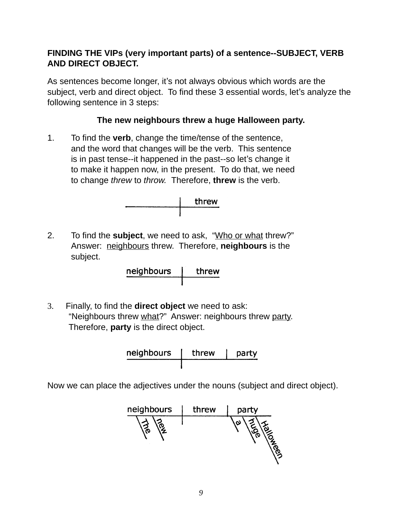#### <span id="page-12-0"></span>**FINDING THE VIPs (very important parts) of a sentence--SUBJECT, VERB AND DIRECT OBJECT.**

As sentences become longer, it's not always obvious which words are the subject, verb and direct object. To find these 3 essential words, let's analyze the following sentence in 3 steps:

#### **The new neighbours threw a huge Halloween party.**

1. To find the **verb**, change the time/tense of the sentence, and the word that changes will be the verb. This sentence is in past tense--it happened in the past--so let's change it to make it happen now, in the present. To do that, we need to change *threw* to *throw.* Therefore, **threw** is the verb.



2. To find the **subject**, we need to ask, "Who or what threw?" Answer: neighbours threw. Therefore, **neighbours** is the subject.

neighbours threw

3. Finally, to find the **direct object** we need to ask: "Neighbours threw what?" Answer: neighbours threw party. Therefore, **party** is the direct object.

| neighbours | threw | party |
|------------|-------|-------|
|            |       |       |

Now we can place the adjectives under the nouns (subject and direct object).

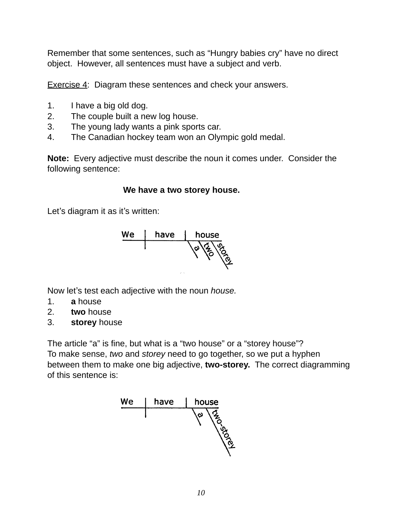Remember that some sentences, such as "Hungry babies cry" have no direct object. However, all sentences must have a subject and verb.

Exercise 4: Diagram these sentences and check your answers.

- 1. I have a big old dog.
- 2. The couple built a new log house.
- 3. The young lady wants a pink sports car.
- 4. The Canadian hockey team won an Olympic gold medal.

**Note:** Every adjective must describe the noun it comes under. Consider the following sentence:

#### We have a two storey house.

Let's diagram it as it's written:



Now let's test each adjective with the noun *house.* 

- 1. **a** house
- 2. **two** house
- 3. **storey** house

The article "a" is fine, but what is a "two house" or a "storey house"? To make sense, *two* and *storey* need to go together, so we put a hyphen between them to make one big adjective, **two-storey.** The correct diagramming of this sentence is:

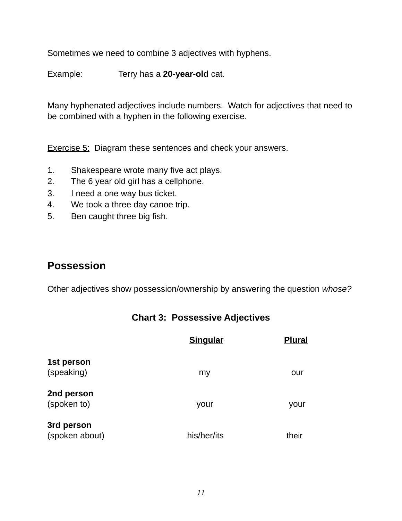<span id="page-14-0"></span>Sometimes we need to combine 3 adjectives with hyphens.

Example: Terry has a 20-year-old cat.

Many hyphenated adjectives include numbers. Watch for adjectives that need to be combined with a hyphen in the following exercise.

Exercise 5: Diagram these sentences and check your answers.

- 1. Shakespeare wrote many five act plays.
- 2. The 6 year old girl has a cellphone.
- 3. I need a one way bus ticket.
- 4. We took a three day canoe trip.
- 5. Ben caught three big fish.

## **Possession**

Other adjectives show possession/ownership by answering the question *whose?*

|  | <b>Chart 3: Possessive Adjectives</b> |  |
|--|---------------------------------------|--|
|--|---------------------------------------|--|

|                | <b>Singular</b> | <b>Plural</b> |
|----------------|-----------------|---------------|
| 1st person     |                 |               |
| (speaking)     | my              | our           |
| 2nd person     |                 |               |
| (spoken to)    | your            | your          |
| 3rd person     |                 |               |
| (spoken about) | his/her/its     | their         |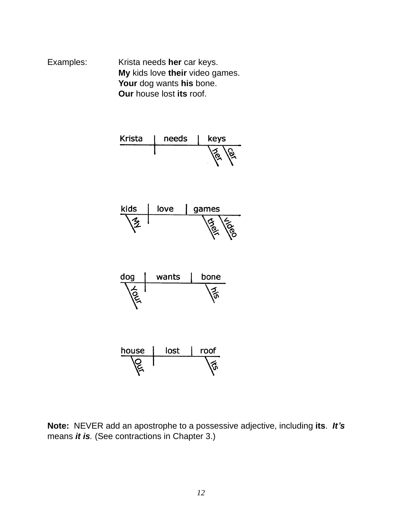Examples: **Krista needs her** car keys. **My** kids love their video games. Your dog wants his bone. **Our** house lost its roof.



**Note:** NEVER add an apostrophe to a possessive adjective, including **its**. *It***'***s* means *it is.* (See contractions in Chapter 3.)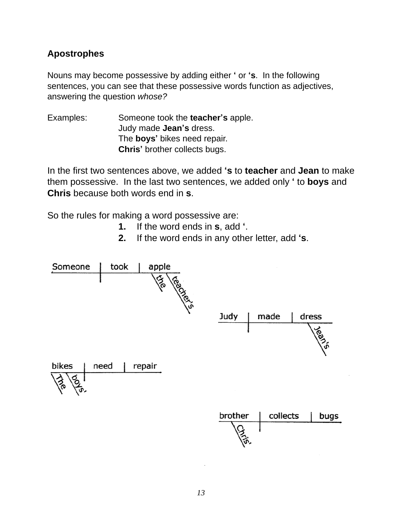#### <span id="page-16-0"></span>**Apostrophes**

Nouns may become possessive by adding either **ʻ** or **ʻs**. In the following sentences, you can see that these possessive words function as adjectives, answering the question *whose?*

Examples:! ! Someone took the **teacher's** apple. ! ! ! Judy made **Jean's** dress. !!! The **boys'** bikes need repair. !!! **Chris'** brother collects bugs.

In the first two sentences above, we added **ʻs** to **teacher** and **Jean** to make them possessive. In the last two sentences, we added only **ʻ** to **boys** and **Chris** because both words end in **s**.

So the rules for making a word possessive are:

- **1.** If the word ends in **s**, add **ʻ**.
- **2.** If the word ends in any other letter, add **ʻs**.

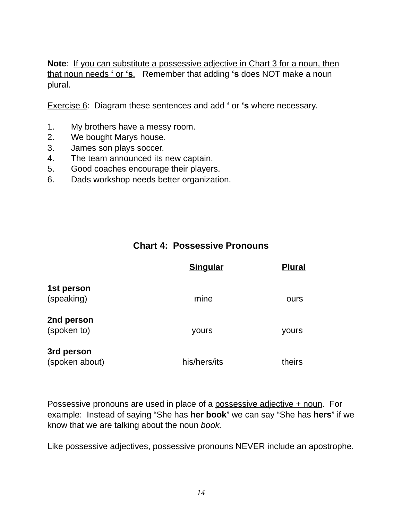<span id="page-17-0"></span>**Note**: If you can substitute a possessive adjective in Chart 3 for a noun, then that noun needs **ʻ** or **ʻs**. Remember that adding **ʻs** does NOT make a noun plural.

Exercise 6: Diagram these sentences and add **ʻ** or **ʻs** where necessary.

- 1. My brothers have a messy room.
- 2. We bought Marys house.
- 3. James son plays soccer.
- 4. The team announced its new captain.
- 5. Good coaches encourage their players.
- 6. Dads workshop needs better organization.

#### **Chart 4: Possessive Pronouns**

|                              | <b>Singular</b> | <b>Plural</b> |
|------------------------------|-----------------|---------------|
| 1st person<br>(speaking)     | mine            | ours          |
| 2nd person<br>(spoken to)    | yours           | yours         |
| 3rd person<br>(spoken about) | his/hers/its    | theirs        |

Possessive pronouns are used in place of a possessive adjective + noun. For example: Instead of saying "She has **her book**" we can say "She has **hers**" if we know that we are talking about the noun *book.*

Like possessive adjectives, possessive pronouns NEVER include an apostrophe.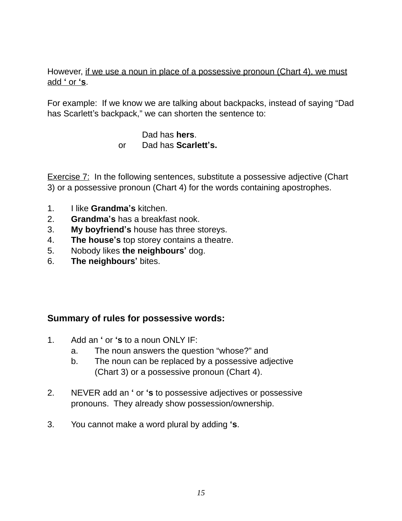#### However, if we use a noun in place of a possessive pronoun (Chart 4), we must add **ʻ** or **ʻs**.

For example: If we know we are talking about backpacks, instead of saying "Dad has Scarlett's backpack," we can shorten the sentence to:

#### Dad has **hers**. ! ! ! or Dad has **Scarlett's.**

Exercise 7: In the following sentences, substitute a possessive adjective (Chart 3) or a possessive pronoun (Chart 4) for the words containing apostrophes.

- 1. I like **Grandma's** kitchen.
- 2. **Grandma's** has a breakfast nook.
- 3. **My boyfriend's** house has three storeys.
- 4. **The house's** top storey contains a theatre.
- 5. Nobody likes **the neighbours'** dog.
- 6. **The neighbours'** bites.

#### **Summary of rules for possessive words:**

- 1. Add an **ʻ** or **ʻs** to a noun ONLY IF:
	- a. The noun answers the question "whose?" and
	- b. The noun can be replaced by a possessive adjective (Chart 3) or a possessive pronoun (Chart 4).
- 2. NEVER add an **ʻ** or **ʻs** to possessive adjectives or possessive pronouns. They already show possession/ownership.
- 3. You cannot make a word plural by adding **ʻs**.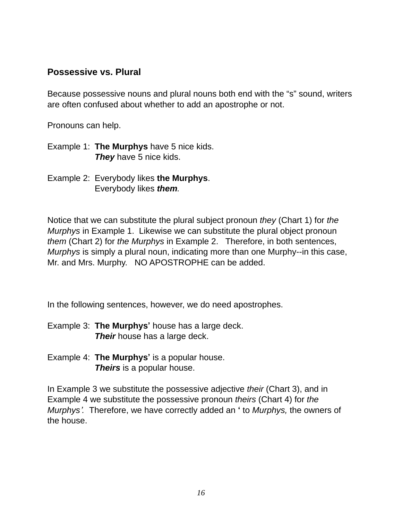#### <span id="page-19-0"></span>**Possessive vs. Plural**

Because possessive nouns and plural nouns both end with the "s" sound, writers are often confused about whether to add an apostrophe or not.

Pronouns can help.

- Example 1: **The Murphys** have 5 nice kids. **They** have 5 nice kids.
- Example 2: Everybody likes **the Murphys**. Everybody likes *them*.

Notice that we can substitute the plural subject pronoun *they* (Chart 1) for *the Murphys* in Example 1. Likewise we can substitute the plural object pronoun *them* (Chart 2) for *the Murphys* in Example 2. Therefore, in both sentences, *Murphys* is simply a plural noun, indicating more than one Murphy--in this case, Mr. and Mrs. Murphy. NO APOSTROPHE can be added.

In the following sentences, however, we do need apostrophes.

- Example 3: **The Murphys'** house has a large deck. **Their** house has a large deck.
- Example 4: **The Murphys'** is a popular house. **Theirs** is a popular house.

In Example 3 we substitute the possessive adjective *their* (Chart 3), and in Example 4 we substitute the possessive pronoun *theirs* (Chart 4) for *the Murphys*'*.* Therefore, we have correctly added an **ʻ** to *Murphys,* the owners of the house.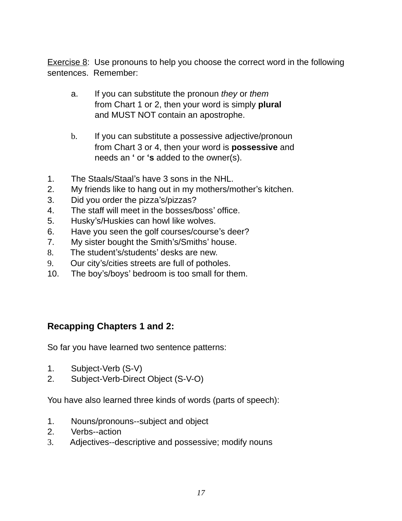Exercise 8: Use pronouns to help you choose the correct word in the following sentences. Remember:

- a. If you can substitute the pronoun *they* or *them* from Chart 1 or 2, then your word is simply **plural ! !** and MUST NOT contain an apostrophe.
- b. If you can substitute a possessive adjective/pronoun ! ! from Chart 3 or 4, then your word is **possessive** and ! ! needs an **ʻ** or **ʻs** added to the owner(s).
- 1. The Staals/Staal's have 3 sons in the NHL.
- 2. My friends like to hang out in my mothers/mother's kitchen.
- 3. Did you order the pizza's/pizzas?
- 4. The staff will meet in the bosses/boss' office.
- 5. Husky's/Huskies can howl like wolves.
- 6. Have you seen the golf courses/course's deer?
- 7. My sister bought the Smith's/Smiths' house.
- 8. The student's/students' desks are new.
- 9. Our city's/cities streets are full of potholes.
- 10. The boy's/boys' bedroom is too small for them.

#### **Recapping Chapters 1 and 2:**

So far you have learned two sentence patterns:

- 1. Subject-Verb (S-V)
- 2. Subject-Verb-Direct Object (S-V-O)

You have also learned three kinds of words (parts of speech):

- 1. Nouns/pronouns--subject and object
- 2. Verbs--action
- 3. Adjectives--descriptive and possessive; modify nouns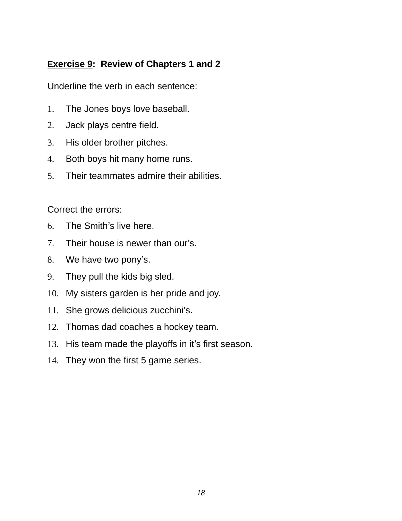#### **Exercise 9: Review of Chapters 1 and 2**

Underline the verb in each sentence:

- 1. The Jones boys love baseball.
- 2. Jack plays centre field.
- 3. His older brother pitches.
- 4. Both boys hit many home runs.
- 5. Their teammates admire their abilities.

Correct the errors:

- 6. The Smith's live here.
- 7. Their house is newer than our's.
- 8. We have two pony's.
- 9. They pull the kids big sled.
- 10. My sisters garden is her pride and joy.
- 11. She grows delicious zucchini's.
- 12. Thomas dad coaches a hockey team.
- 13. His team made the playoffs in it's first season.
- 14. They won the first 5 game series.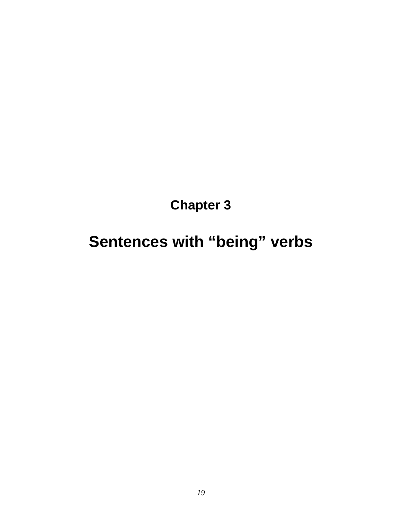**Chapter 3**

# <span id="page-22-0"></span>**Sentences with "being" verbs**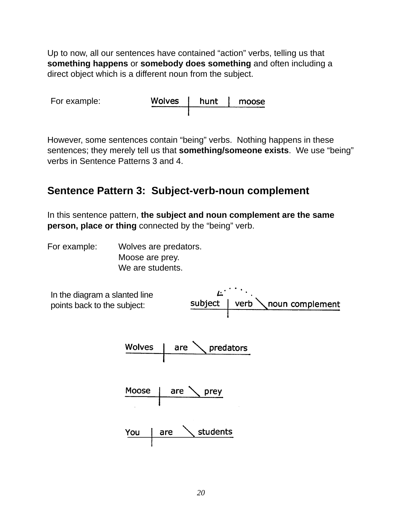<span id="page-23-0"></span>Up to now, all our sentences have contained "action" verbs, telling us that **something happens** or **somebody does something** and often including a direct object which is a different noun from the subject.

| For example: | Wolves   hunt | moose |
|--------------|---------------|-------|
|              |               |       |

However, some sentences contain "being" verbs. Nothing happens in these sentences; they merely tell us that **something/someone exists**. We use "being" verbs in Sentence Patterns 3 and 4.

# **Sentence Pattern 3: Subject-verb-noun complement**

In this sentence pattern, **the subject and noun complement are the same person, place or thing** connected by the "being" verb.

For example: Wolves are predators. Moose are prey. We are students.

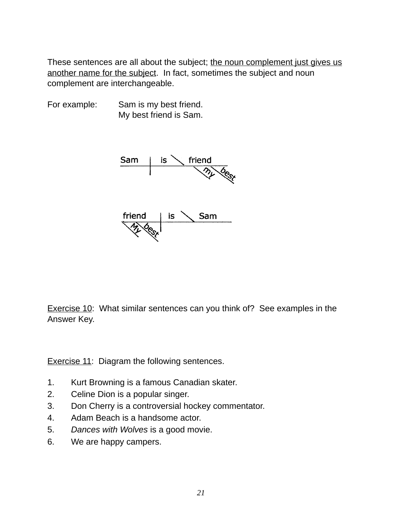These sentences are all about the subject; the noun complement just gives us another name for the subject. In fact, sometimes the subject and noun complement are interchangeable.

For example: Sam is my best friend. My best friend is Sam.



Exercise 10: What similar sentences can you think of? See examples in the Answer Key.

Exercise 11: Diagram the following sentences.

- 1. Kurt Browning is a famous Canadian skater.
- 2. Celine Dion is a popular singer.
- 3. Don Cherry is a controversial hockey commentator.
- 4. Adam Beach is a handsome actor.
- 5. *Dances with Wolves* is a good movie.
- 6. We are happy campers.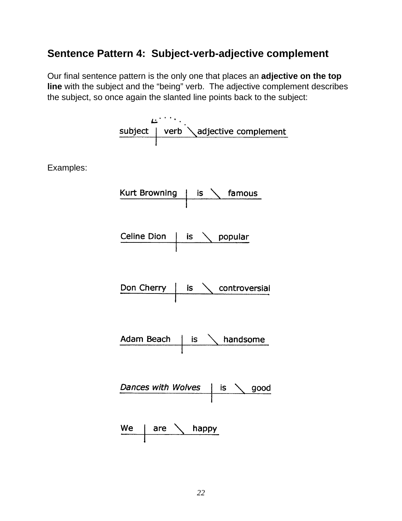# <span id="page-25-0"></span>**Sentence Pattern 4: Subject-verb-adjective complement**

Our final sentence pattern is the only one that places an **adjective on the top line** with the subject and the "being" verb. The adjective complement describes the subject, so once again the slanted line points back to the subject:

 $\begin{picture}(150,10) \put(0,0){\vector(0,1){30}} \put(15,0){\vector(0,1){30}} \put(15,0){\vector(0,1){30}} \put(15,0){\vector(0,1){30}} \put(15,0){\vector(0,1){30}} \put(15,0){\vector(0,1){30}} \put(15,0){\vector(0,1){30}} \put(15,0){\vector(0,1){30}} \put(15,0){\vector(0,1){30}} \put(15,0){\vector(0,1){30}} \put(15,0){\vector(0,1){30}} \put(15,0){\vector($ 

Examples:

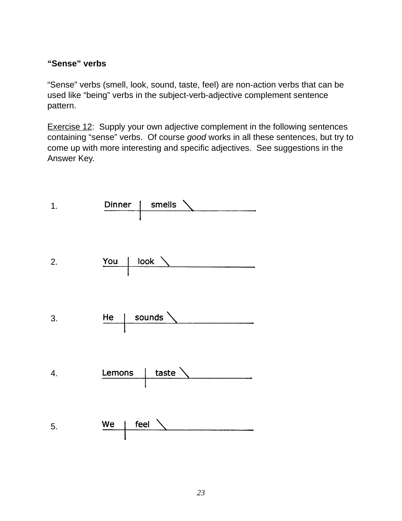#### **"Sense" verbs**

"Sense" verbs (smell, look, sound, taste, feel) are non-action verbs that can be used like "being" verbs in the subject-verb-adjective complement sentence pattern.

Exercise 12: Supply your own adjective complement in the following sentences containing "sense" verbs. Of course *good* works in all these sentences, but try to come up with more interesting and specific adjectives. See suggestions in the Answer Key.

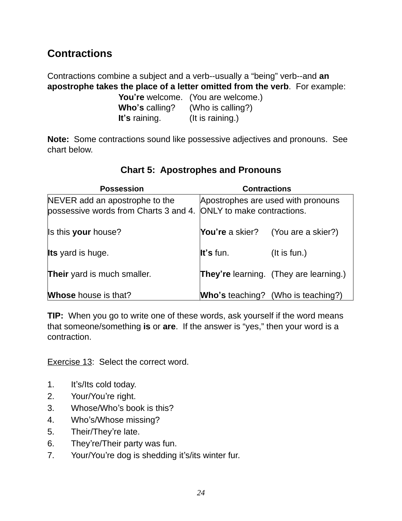# <span id="page-27-0"></span>**Contractions**

Contractions combine a subject and a verb--usually a "being" verb--and **an apostrophe takes the place of a letter omitted from the verb**. For example:

|                | You're welcome. (You are welcome.) |
|----------------|------------------------------------|
| Who's calling? | (Who is calling?)                  |
| It's raining.  | (It is raining.)                   |

**Note:** Some contractions sound like possessive adjectives and pronouns. See chart below.

| <b>Possession</b>                                                                                  | <b>Contractions</b> |                                               |
|----------------------------------------------------------------------------------------------------|---------------------|-----------------------------------------------|
| NEVER add an apostrophe to the<br>possessive words from Charts 3 and 4. ONLY to make contractions. |                     | Apostrophes are used with pronouns            |
| Is this your house?                                                                                | You're a skier?     | (You are a skier?)                            |
| <b>Its</b> yard is huge.                                                                           | It's fun.           | $($ lt is fun. $)$                            |
| Their yard is much smaller.                                                                        |                     | <b>They're</b> learning. (They are learning.) |
| <b>Whose</b> house is that?                                                                        |                     | <b>Who's teaching?</b> (Who is teaching?)     |

## **Chart 5: Apostrophes and Pronouns**

**TIP:** When you go to write one of these words, ask yourself if the word means that someone/something **is** or **are**. If the answer is "yes," then your word is a contraction.

Exercise 13: Select the correct word.

- 1. It's/Its cold today.
- 2. Your/You're right.
- 3. Whose/Who's book is this?
- 4. Who's/Whose missing?
- 5. Their/They're late.
- 6. They're/Their party was fun.
- 7. Your/You're dog is shedding it's/its winter fur.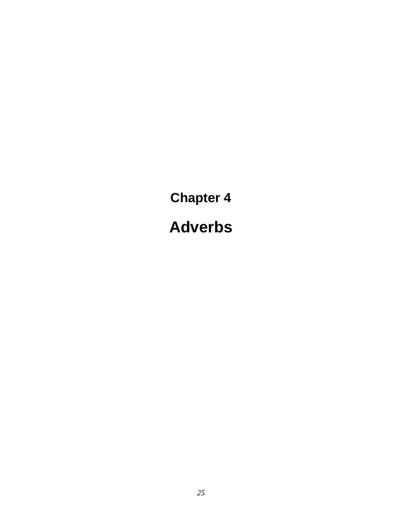<span id="page-28-0"></span>**Chapter 4 Adverbs**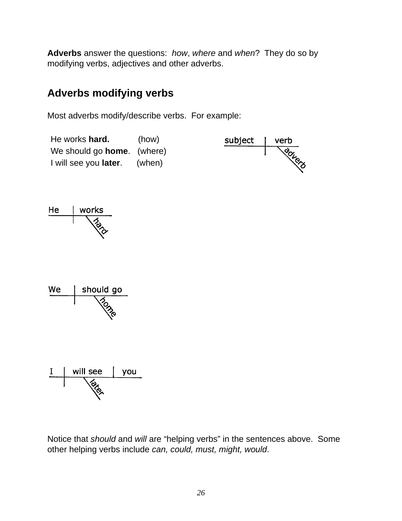<span id="page-29-0"></span>**Adverbs** answer the questions: *how*, *where* and *when*? They do so by modifying verbs, adjectives and other adverbs.

# **Adverbs modifying verbs**

Most adverbs modify/describe verbs. For example:









Notice that *should* and *will* are "helping verbs" in the sentences above. Some other helping verbs include *can, could, must, might, would*.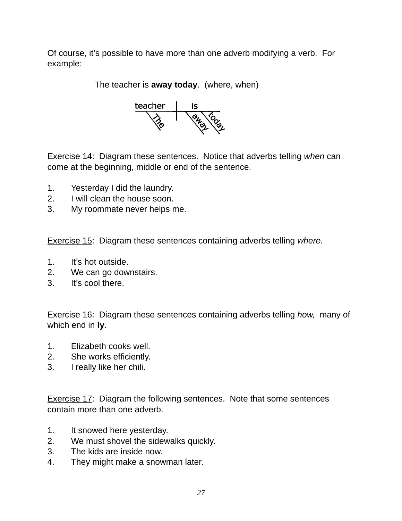Of course, it's possible to have more than one adverb modifying a verb. For example:

The teacher is **away today**. (where, when)



Exercise 14: Diagram these sentences. Notice that adverbs telling *when* can come at the beginning, middle or end of the sentence.

- 1. Yesterday I did the laundry.
- 2. I will clean the house soon.
- 3. My roommate never helps me.

Exercise 15: Diagram these sentences containing adverbs telling *where.*

- 1. It's hot outside.
- 2. We can go downstairs.
- 3. It's cool there.

Exercise 16: Diagram these sentences containing adverbs telling *how,* many of which end in **ly**.

- 1. Elizabeth cooks well.
- 2. She works efficiently.
- 3. I really like her chili.

Exercise 17: Diagram the following sentences. Note that some sentences contain more than one adverb.

- 1. It snowed here yesterday.
- 2. We must shovel the sidewalks quickly.
- 3. The kids are inside now.
- 4. They might make a snowman later.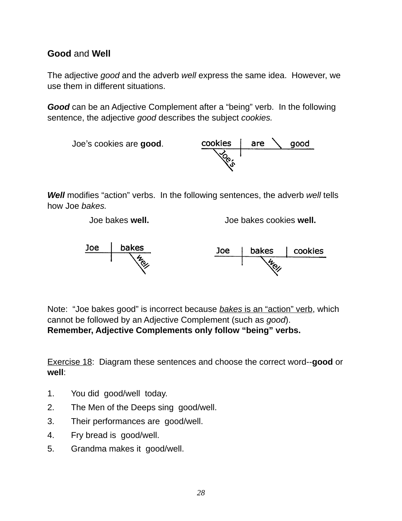#### <span id="page-31-0"></span>**Good** and **Well**

The adjective *good* and the adverb *well* express the same idea. However, we use them in different situations.

*Good* can be an Adjective Complement after a "being" verb. In the following sentence, the adjective *good* describes the subject *cookies.*



*Well* modifies "action" verbs. In the following sentences, the adverb *well* tells how Joe *bakes.*

Joe bakes **well.** Joe bakes cookies **well.**



Note: "Joe bakes good" is incorrect because *bakes* is an "action" verb, which cannot be followed by an Adjective Complement (such as *good*). **Remember, Adjective Complements only follow "being" verbs.**

Exercise 18: Diagram these sentences and choose the correct word--**good** or **well**:

- 1. You did good/well today.
- 2. The Men of the Deeps sing good/well.
- 3. Their performances are good/well.
- 4. Fry bread is good/well.
- 5. Grandma makes it good/well.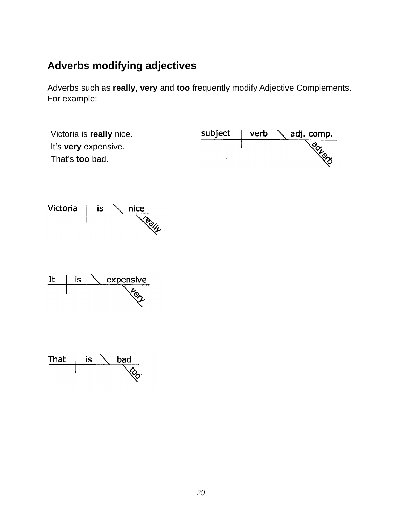# <span id="page-32-0"></span>**Adverbs modifying adjectives**

Adverbs such as **really**, **very** and **too** frequently modify Adjective Complements. For example:

| Victoria is really nice. | subject | verb $\setminus$ adj. comp. |
|--------------------------|---------|-----------------------------|
| It's very expensive.     |         |                             |
| That's too bad.          |         |                             |





| That | is | bad |
|------|----|-----|
|      |    |     |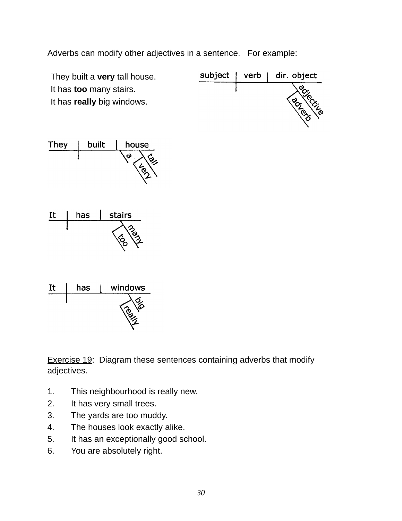Adverbs can modify other adjectives in a sentence. For example:



Exercise 19: Diagram these sentences containing adverbs that modify adjectives.

- 1. This neighbourhood is really new.
- 2. It has very small trees.
- 3. The yards are too muddy.
- 4. The houses look exactly alike.
- 5. It has an exceptionally good school.
- 6. You are absolutely right.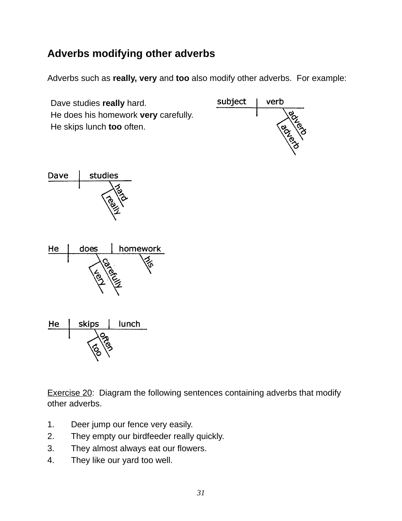# <span id="page-34-0"></span>**Adverbs modifying other adverbs**

Adverbs such as **really, very** and **too** also modify other adverbs. For example:

Dave studies **really** hard. He does his homework **very** carefully. He skips lunch **too** often.









Exercise 20: Diagram the following sentences containing adverbs that modify other adverbs.

- 1. Deer jump our fence very easily.
- 2. They empty our birdfeeder really quickly.
- 3. They almost always eat our flowers.
- 4. They like our yard too well.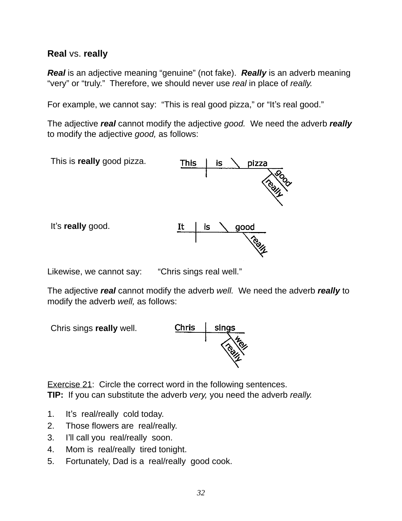#### <span id="page-35-0"></span>**Real** vs. **really**

*Real* is an adjective meaning "genuine" (not fake). *Really* is an adverb meaning "very" or "truly." Therefore, we should never use *real* in place of *really.*

For example, we cannot say: "This is real good pizza," or "It's real good."

The adjective *real* cannot modify the adjective *good.* We need the adverb *really* to modify the adjective *good,* as follows:



Likewise, we cannot say: "Chris sings real well."

The adjective *real* cannot modify the adverb *well.* We need the adverb *really* to modify the adverb *well,* as follows:

Chris sings **really** well.



Exercise 21: Circle the correct word in the following sentences. **TIP:** If you can substitute the adverb *very,* you need the adverb *really.*

- 1. It's real/really cold today.
- 2. Those flowers are real/really.
- 3. I'll call you real/really soon.
- 4. Mom is real/really tired tonight.
- 5. Fortunately, Dad is a real/really good cook.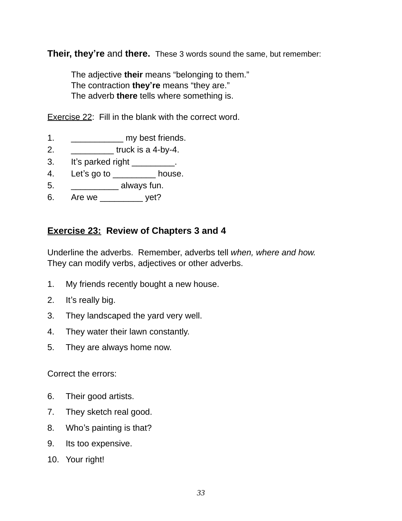**Their, they're** and **there.** These 3 words sound the same, but remember:

The adjective **their** means "belonging to them." The contraction **they're** means "they are." The adverb **there** tells where something is.

Exercise 22: Fill in the blank with the correct word.

- 1. **In the my best friends.**
- 2.  $\qquad \qquad \text{truck is a 4-by-4.}$
- 3. It's parked right \_\_\_\_\_\_\_\_\_.
- 4. Let's go to \_\_\_\_\_\_\_\_\_\_ house.
- 5. \_\_\_\_\_\_\_\_\_\_\_\_ always fun.
- 6. Are we \_\_\_\_\_\_\_\_\_ yet?

### **Exercise 23: Review of Chapters 3 and 4**

Underline the adverbs. Remember, adverbs tell *when, where and how.*  They can modify verbs, adjectives or other adverbs.

- 1. My friends recently bought a new house.
- 2. It's really big.
- 3. They landscaped the yard very well.
- 4. They water their lawn constantly.
- 5. They are always home now.

Correct the errors:

- 6. Their good artists.
- 7. They sketch real good.
- 8. Who's painting is that?
- 9. Its too expensive.
- 10. Your right!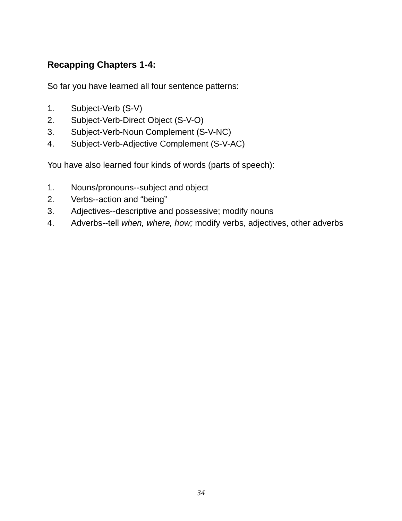# **Recapping Chapters 1-4:**

So far you have learned all four sentence patterns:

- 1. Subject-Verb (S-V)
- 2. Subject-Verb-Direct Object (S-V-O)
- 3. Subject-Verb-Noun Complement (S-V-NC)
- 4. Subject-Verb-Adjective Complement (S-V-AC)

You have also learned four kinds of words (parts of speech):

- 1. Nouns/pronouns--subject and object
- 2. Verbs--action and "being"
- 3. Adjectives--descriptive and possessive; modify nouns
- 4. Adverbs--tell *when, where, how;* modify verbs, adjectives, other adverbs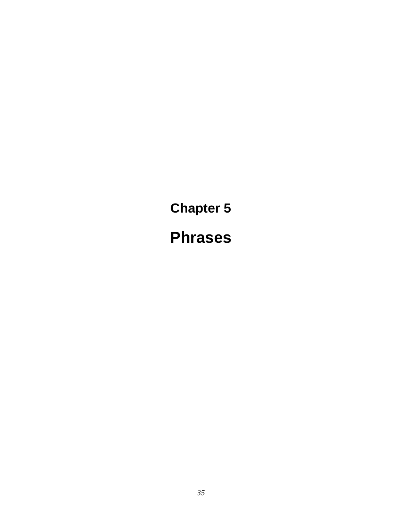**Chapter 5 Phrases**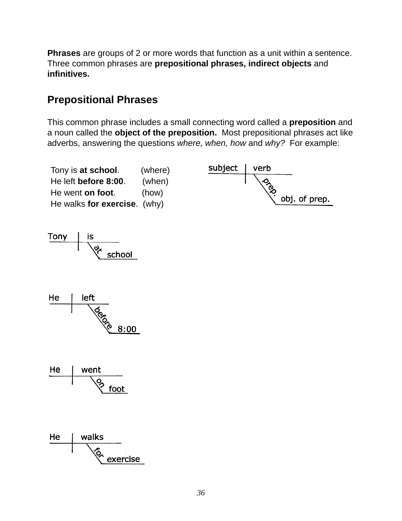**Phrases** are groups of 2 or more words that function as a unit within a sentence. Three common phrases are **prepositional phrases, indirect objects** and **infinitives.**

# **Prepositional Phrases**

This common phrase includes a small connecting word called a **preposition** and a noun called the **object of the preposition.** Most prepositional phrases act like adverbs, answering the questions *where, when, how* and *why?* For example:









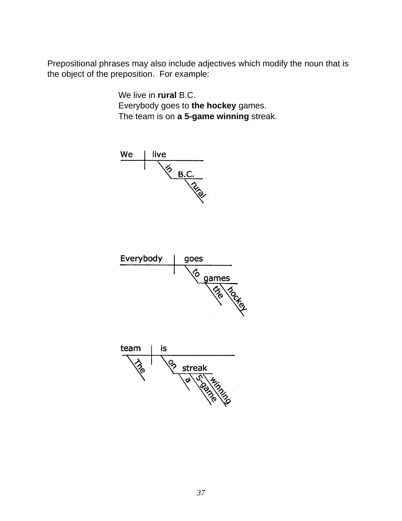Prepositional phrases may also include adjectives which modify the noun that is the object of the preposition. For example:

> We live in **rural** B.C. Everybody goes to the hockey games. The team is on **a 5-game winning** streak.





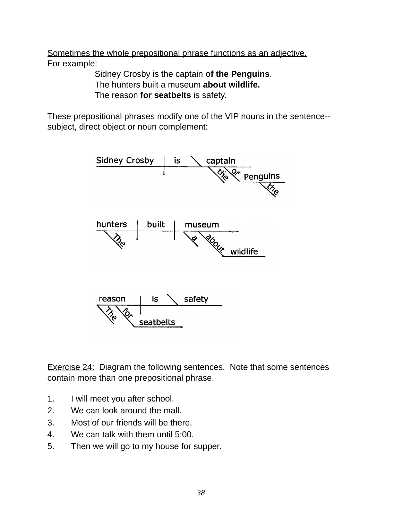Sometimes the whole prepositional phrase functions as an adjective. For example:

! ! Sidney Crosby is the captain **of the Penguins**. ! ! The hunters built a museum **about wildlife.** The reason for seatbelts is safety.

These prepositional phrases modify one of the VIP nouns in the sentence- subject, direct object or noun complement:



Exercise 24: Diagram the following sentences. Note that some sentences contain more than one prepositional phrase.

- 1. I will meet you after school.
- 2. We can look around the mall.
- 3. Most of our friends will be there.
- 4. We can talk with them until 5:00.
- 5. Then we will go to my house for supper.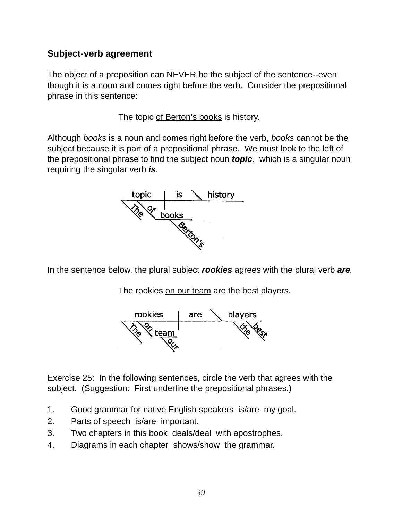### **Subject-verb agreement**

The object of a preposition can NEVER be the subject of the sentence--even though it is a noun and comes right before the verb. Consider the prepositional phrase in this sentence:

The topic of Berton's books is history.

Although *books* is a noun and comes right before the verb, *books* cannot be the subject because it is part of a prepositional phrase. We must look to the left of the prepositional phrase to find the subject noun *topic,* which is a singular noun requiring the singular verb *is.*



In the sentence below, the plural subject *rookies* agrees with the plural verb *are.*

The rookies on our team are the best players.



Exercise 25: In the following sentences, circle the verb that agrees with the subiect. (Suggestion: First underline the prepositional phrases.)

- 1. Good grammar for native English speakers is/are my goal.
- 2. Parts of speech is/are important.
- 3. Two chapters in this book deals/deal with apostrophes.
- 4. Diagrams in each chapter shows/show the grammar.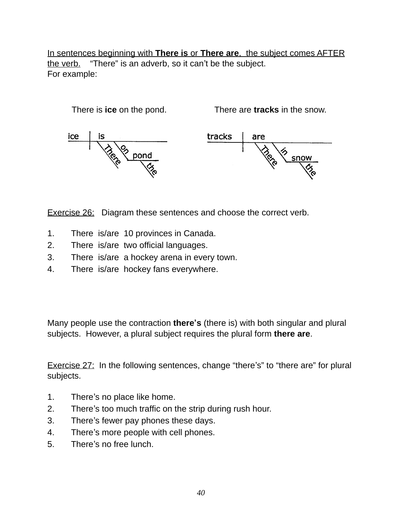In sentences beginning with **There is** or **There are**, the subject comes AFTER the verb. "There" is an adverb, so it can't be the subject. For example:



Exercise 26: Diagram these sentences and choose the correct verb.

- 1. There is/are 10 provinces in Canada.
- 2. There is/are two official languages.
- 3. There is/are a hockey arena in every town.
- 4. There is/are hockey fans everywhere.

Many people use the contraction **there's** (there is) with both singular and plural subjects. However, a plural subject requires the plural form **there are**.

Exercise 27: In the following sentences, change "there's" to "there are" for plural subjects.

- 1. There's no place like home.
- 2. There's too much traffic on the strip during rush hour.
- 3. There's fewer pay phones these days.
- 4. There's more people with cell phones.
- 5. There's no free lunch.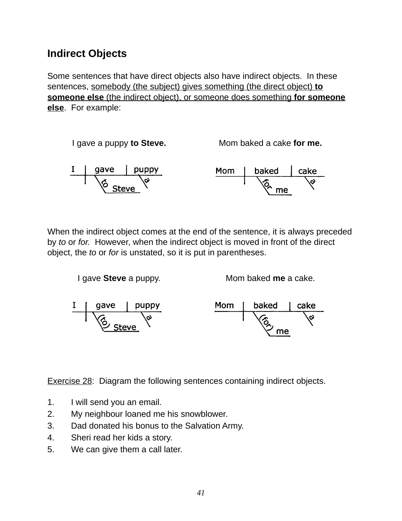# **Indirect Objects**

Some sentences that have direct objects also have indirect objects. In these sentences, somebody (the subject) gives something (the direct object) **to someone else** (the indirect object), or someone does something **for someone else**. For example:



When the indirect object comes at the end of the sentence, it is always preceded by *to* or *for.* However, when the indirect object is moved in front of the direct object, the *to* or *for* is unstated, so it is put in parentheses.



Exercise 28: Diagram the following sentences containing indirect objects.

- 1. I will send you an email.
- 2. My neighbour loaned me his snowblower.
- 3. Dad donated his bonus to the Salvation Army.
- 4. Sheri read her kids a story.
- 5. We can give them a call later.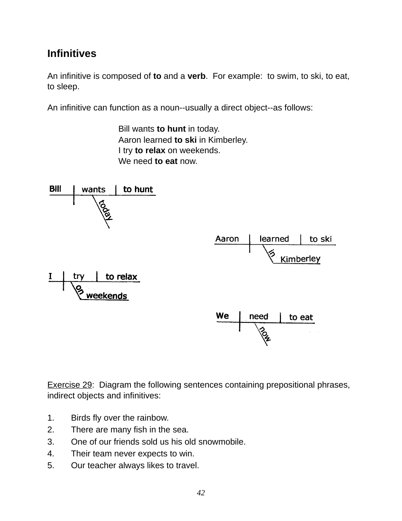# **Infinitives**

An infinitive is composed of **to** and a **verb**. For example: to swim, to ski, to eat, to sleep.

An infinitive can function as a noun--usually a direct object--as follows:

 Bill wants **to hunt** in today. **!!!** Aaron learned **to ski** in Kimberley. **!!!** I try **to relax** on weekends. We need **to eat** now.



Exercise 29: Diagram the following sentences containing prepositional phrases, indirect objects and infinitives:

- 1. Birds fly over the rainbow.
- 2. There are many fish in the sea.
- 3. One of our friends sold us his old snowmobile.
- 4. Their team never expects to win.
- 5. Our teacher always likes to travel.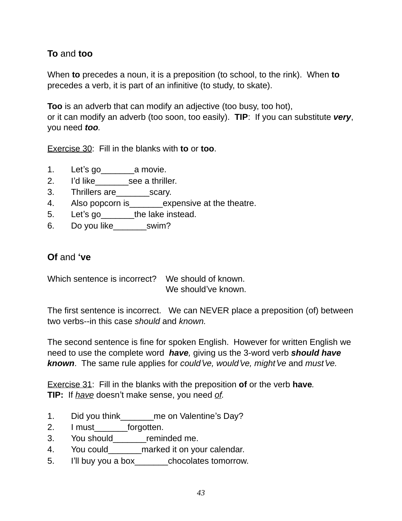### **To** and **too**

When **to** precedes a noun, it is a preposition (to school, to the rink). When **to** precedes a verb, it is part of an infinitive (to study, to skate).

**Too** is an adverb that can modify an adjective (too busy, too hot), or it can modify an adverb (too soon, too easily). **TIP**: If you can substitute *very*, you need *too.*

Exercise 30: Fill in the blanks with **to** or **too**.

- 1. Let's go\_\_\_\_\_\_\_a movie.
- 2. I'd like see a thriller.
- 3. Thrillers are\_\_\_\_\_\_\_scary.
- 4. Also popcorn is expensive at the theatre.
- 5. Let's go the lake instead.
- 6. Do you like\_\_\_\_\_\_\_swim?

### **Of** and **ʻve**

Which sentence is incorrect? We should of known. We should've known.

The first sentence is incorrect. We can NEVER place a preposition (of) between two verbs--in this case *should* and *known.*

The second sentence is fine for spoken English. However for written English we need to use the complete word *have,* giving us the 3-word verb *should have known*. The same rule applies for *could*'*ve, would*'*ve, might*'*ve* and *must*'*ve.*

Exercise 31: Fill in the blanks with the preposition **of** or the verb **have***.* **TIP:** If *have* doesn't make sense, you need *of.*

- 1. Did you think me on Valentine's Day?
- 2. I must forgotten.
- 3. You should\_\_\_\_\_\_\_reminded me.
- 4. You could marked it on your calendar.
- 5. I'll buy you a box\_\_\_\_\_\_\_chocolates tomorrow.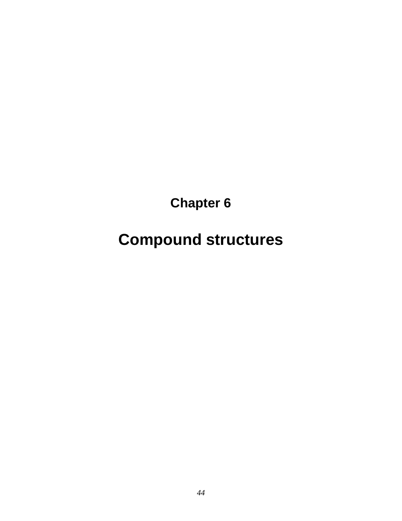**Chapter 6**

**Compound structures**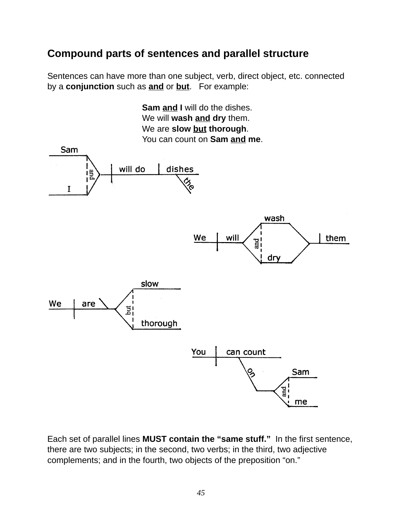# **Compound parts of sentences and parallel structure**

Sentences can have more than one subject, verb, direct object, etc. connected by a **conjunction** such as **and** or **but**. For example:



Each set of parallel lines **MUST contain the "same stuff."** In the first sentence, there are two subjects; in the second, two verbs; in the third, two adjective complements; and in the fourth, two objects of the preposition "on."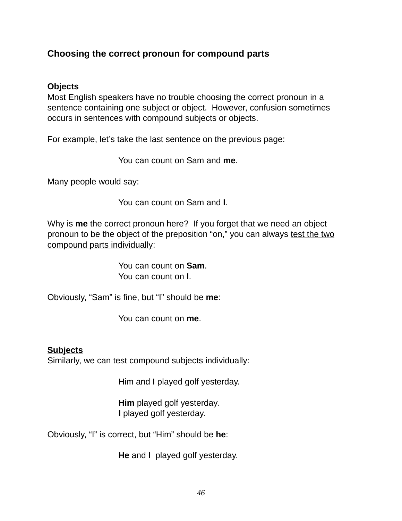### **Choosing the correct pronoun for compound parts**

#### **Objects**

Most English speakers have no trouble choosing the correct pronoun in a sentence containing one subject or object. However, confusion sometimes occurs in sentences with compound subjects or objects.

For example, let's take the last sentence on the previous page:

! ! ! You can count on Sam and **me**.

Many people would say:

You can count on Sam and **I**.

Why is **me** the correct pronoun here? If you forget that we need an object pronoun to be the object of the preposition "on," you can always test the two compound parts individually:

> ! ! ! You can count on **Sam**. You can count on **I**.

Obviously, "Sam" is fine, but "I" should be **me**:

You can count on **me**.

#### **Subjects**

Similarly, we can test compound subjects individually:

Him and I played golf yesterday.

**Him** played golf yesterday. **I** played golf yesterday.

Obviously, "I" is correct, but "Him" should be **he**:

**He** and **I** played golf yesterday.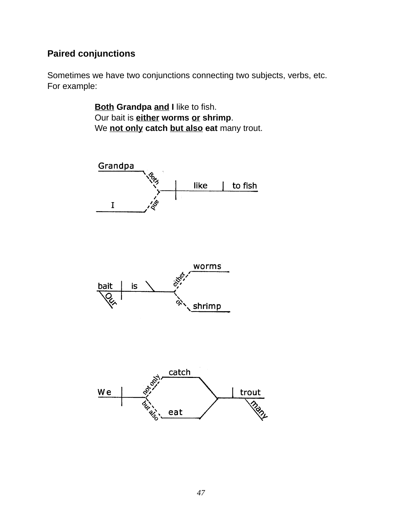### **Paired conjunctions**

Sometimes we have two conjunctions connecting two subjects, verbs, etc. For example:

> **Both Grandpa and I like to fish.** Our bait is **either worms or shrimp**. We **not only catch but also eat** many trout.

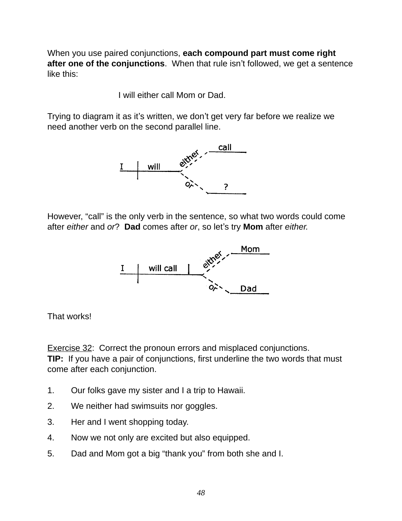When you use paired conjunctions, **each compound part must come right after one of the conjunctions**. When that rule isn't followed, we get a sentence like this:

I will either call Mom or Dad.

Trying to diagram it as it's written, we don't get very far before we realize we need another verb on the second parallel line.



However, "call" is the only verb in the sentence, so what two words could come after *either* and *or*? **Dad** comes after *or*, so let's try **Mom** after *either.*



That works!

Exercise 32: Correct the pronoun errors and misplaced conjunctions. **TIP:** If you have a pair of conjunctions, first underline the two words that must come after each conjunction.

- 1. Our folks gave my sister and I a trip to Hawaii.
- 2. We neither had swimsuits nor goggles.
- 3. Her and I went shopping today.
- 4. Now we not only are excited but also equipped.
- 5. Dad and Mom got a big "thank you" from both she and I.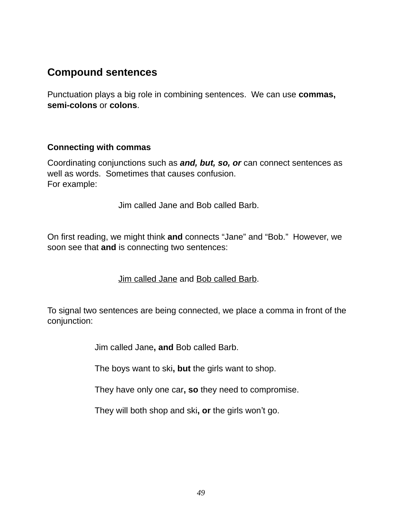# **Compound sentences**

Punctuation plays a big role in combining sentences. We can use **commas, semi-colons** or **colons**.

#### **Connecting with commas**

Coordinating conjunctions such as *and, but, so, or* can connect sentences as well as words. Sometimes that causes confusion. For example:

! ! ! Jim called Jane and Bob called Barb.

On first reading, we might think **and** connects "Jane" and "Bob." However, we soon see that **and** is connecting two sentences:

**!!!** Jim called Jane and Bob called Barb.

To signal two sentences are being connected, we place a comma in front of the conjunction:

! ! Jim called Jane**, and** Bob called Barb.

The boys want to ski, but the girls want to shop.

They have only one car, so they need to compromise.

! ! They will both shop and ski**, or** the girls won't go.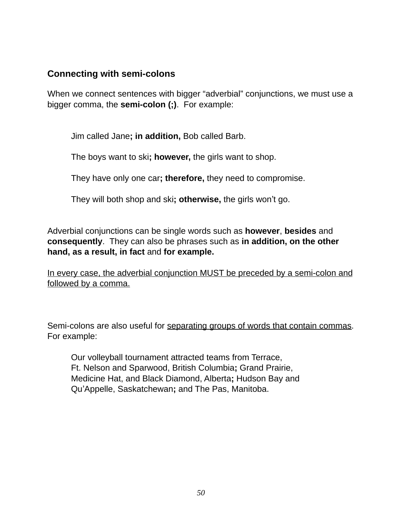### **Connecting with semi-colons**

When we connect sentences with bigger "adverbial" conjunctions, we must use a bigger comma, the **semi-colon (;)**. For example:

Jim called Jane**; in addition,** Bob called Barb.

The boys want to ski**; however,** the girls want to shop.

They have only one car**; therefore,** they need to compromise.

They will both shop and ski**; otherwise,** the girls won't go.

Adverbial conjunctions can be single words such as **however**, **besides** and **consequently**. They can also be phrases such as **in addition, on the other hand, as a result, in fact** and **for example.** 

In every case, the adverbial conjunction MUST be preceded by a semi-colon and followed by a comma.

Semi-colons are also useful for separating groups of words that contain commas. For example:

Our volleyball tournament attracted teams from Terrace, Ft. Nelson and Sparwood, British Columbia**;** Grand Prairie, Medicine Hat, and Black Diamond, Alberta**;** Hudson Bay and Qu'Appelle, Saskatchewan**;** and The Pas, Manitoba.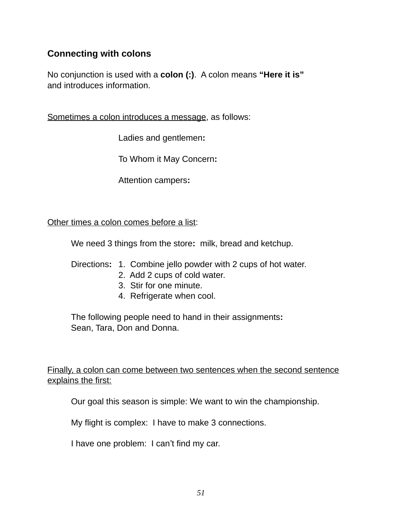### **Connecting with colons**

No conjunction is used with a **colon (:)**. A colon means **"Here it is"** and introduces information.

Sometimes a colon introduces a message, as follows:

Ladies and gentlemen:

! ! ! To Whom it May Concern**:**

! ! ! Attention campers**:**

Other times a colon comes before a list:

We need 3 things from the store**:** milk, bread and ketchup.

Directions**:** 1. Combine jello powder with 2 cups of hot water.

- 2. Add 2 cups of cold water.
- 3. Stir for one minute.
- 4. Refrigerate when cool.

The following people need to hand in their assignments**:** Sean, Tara, Don and Donna.

Finally, a colon can come between two sentences when the second sentence explains the first:

Our goal this season is simple: We want to win the championship.

My flight is complex: I have to make 3 connections.

I have one problem: I can't find my car.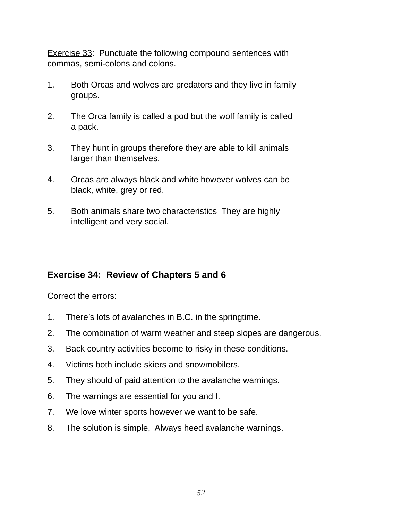Exercise 33: Punctuate the following compound sentences with commas, semi-colons and colons.

- 1. Both Orcas and wolves are predators and they live in family groups.
- 2. The Orca family is called a pod but the wolf family is called a pack.
- 3. They hunt in groups therefore they are able to kill animals larger than themselves.
- 4. Orcas are always black and white however wolves can be black, white, grey or red.
- 5. Both animals share two characteristics They are highly intelligent and very social.

### **Exercise 34: Review of Chapters 5 and 6**

Correct the errors:

- 1. There's lots of avalanches in B.C. in the springtime.
- 2. The combination of warm weather and steep slopes are dangerous.
- 3. Back country activities become to risky in these conditions.
- 4. Victims both include skiers and snowmobilers.
- 5. They should of paid attention to the avalanche warnings.
- 6. The warnings are essential for you and I.
- 7. We love winter sports however we want to be safe.
- 8. The solution is simple, Always heed avalanche warnings.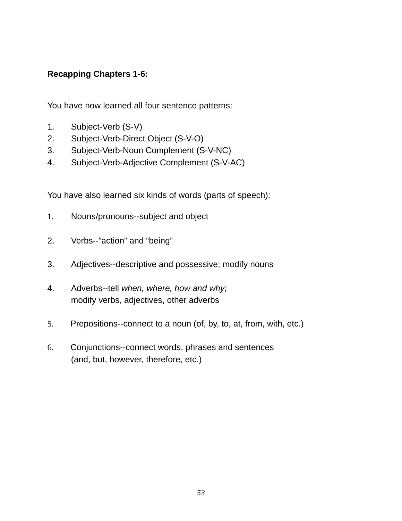### **Recapping Chapters 1-6:**

You have now learned all four sentence patterns:

- 1. Subject-Verb (S-V)
- 2. Subject-Verb-Direct Object (S-V-O)
- 3. Subject-Verb-Noun Complement (S-V-NC)
- 4. Subject-Verb-Adjective Complement (S-V-AC)

You have also learned six kinds of words (parts of speech):

- 1. Nouns/pronouns--subject and object
- 2. Verbs--"action" and "being"
- 3. Adjectives--descriptive and possessive; modify nouns
- 4. Adverbs--tell *when, where, how and why;* modify verbs, adjectives, other adverbs
- 5. Prepositions--connect to a noun (of, by, to, at, from, with, etc.)
- 6. Conjunctions--connect words, phrases and sentences (and, but, however, therefore, etc.)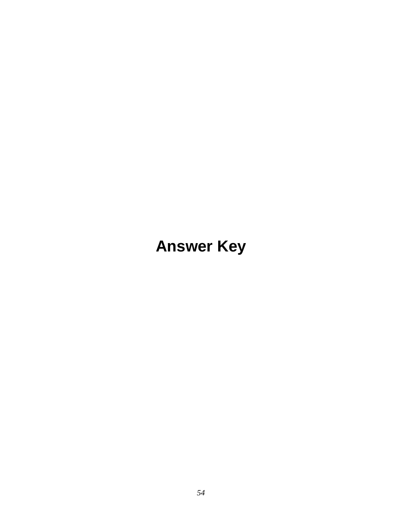# **Answer Key**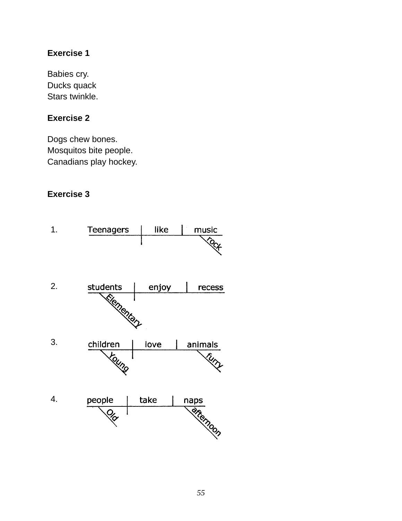Babies cry. Ducks quack Stars twinkle.

### **Exercise 2**

Dogs chew bones. Mosquitos bite people. Canadians play hockey.

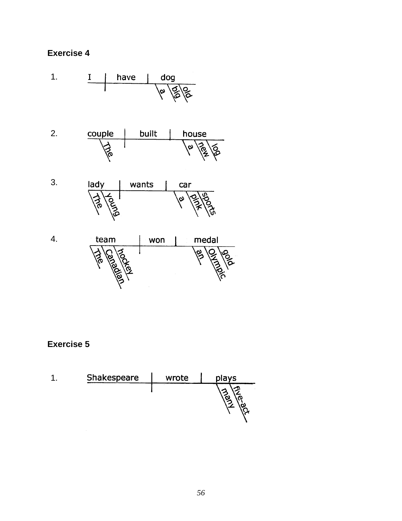

| Shakespeare | wrote | plays |
|-------------|-------|-------|
|             |       |       |
|             |       |       |
|             |       |       |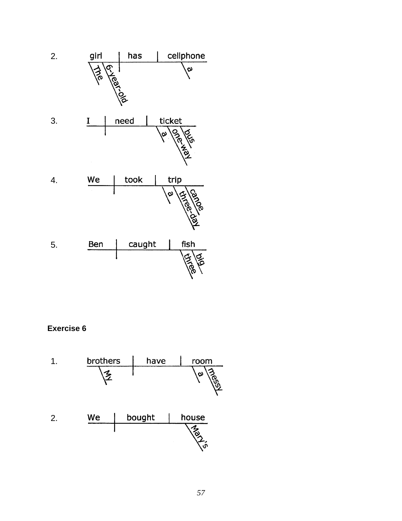

**Exercise 6**

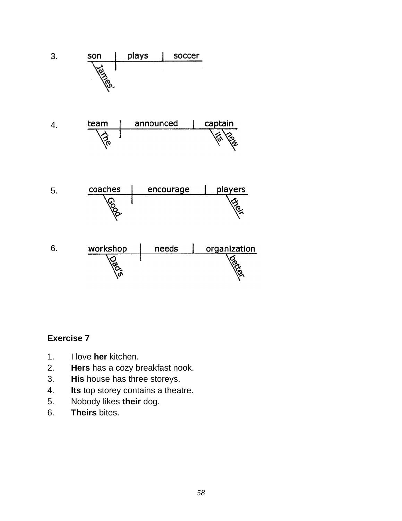

- 1. I love **her** kitchen.
- 2. **Hers** has a cozy breakfast nook.
- 3. **His** house has three storeys.
- 4. **Its** top storey contains a theatre.
- 5. Nobody likes **their** dog.
- 6. **Theirs** bites.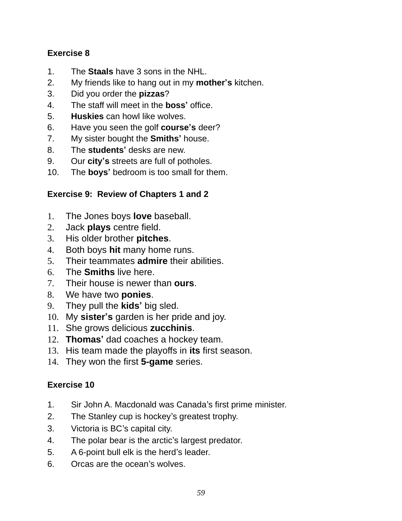- 1. The **Staals** have 3 sons in the NHL.
- 2. My friends like to hang out in my **mother's** kitchen.
- 3. Did you order the **pizzas**?
- 4. The staff will meet in the **boss'** office.
- 5. **Huskies** can howl like wolves.
- 6. Have you seen the golf **course's** deer?
- 7. My sister bought the **Smiths'** house.
- 8. The **students'** desks are new.
- 9. Our **city's** streets are full of potholes.
- 10. The **boys'** bedroom is too small for them.

### **Exercise 9: Review of Chapters 1 and 2**

- 1. The Jones boys **love** baseball.
- 2. Jack **plays** centre field.
- 3. His older brother **pitches**.
- 4. Both boys **hit** many home runs.
- 5. Their teammates **admire** their abilities.
- 6. The **Smiths** live here.
- 7. Their house is newer than **ours**.
- 8. We have two **ponies**.
- 9. They pull the **kids'** big sled.
- 10. My **sister's** garden is her pride and joy.
- 11. She grows delicious **zucchinis**.
- 12. **Thomas'** dad coaches a hockey team.
- 13. His team made the playoffs in **its** first season.
- 14. They won the first **5-game** series.

- 1. Sir John A. Macdonald was Canada's first prime minister.
- 2. The Stanley cup is hockey's greatest trophy.
- 3. Victoria is BC's capital city.
- 4. The polar bear is the arctic's largest predator.
- 5. A 6-point bull elk is the herd's leader.
- 6. Orcas are the ocean's wolves.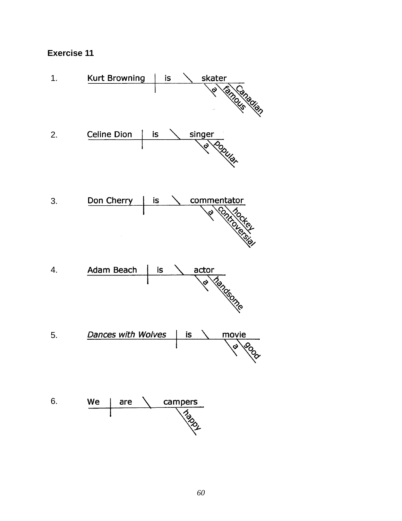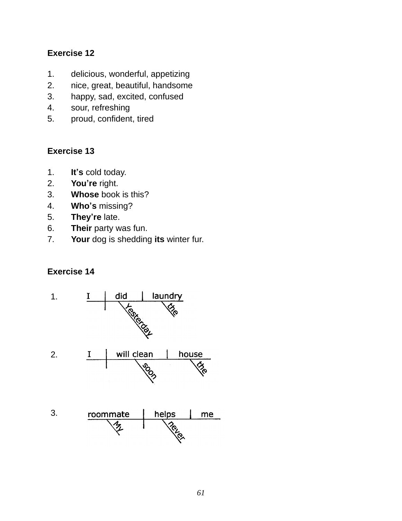- 1. delicious, wonderful, appetizing
- 2. nice, great, beautiful, handsome
- 3. happy, sad, excited, confused
- 4. sour, refreshing
- 5. proud, confident, tired

#### **Exercise 13**

- 1. **It's** cold today.
- 2. **You're** right.
- 3. **Whose** book is this?
- 4. **Who's** missing?
- 5. **They're** late.
- 6. **Their** party was fun.
- 7. **Your** dog is shedding **its** winter fur.

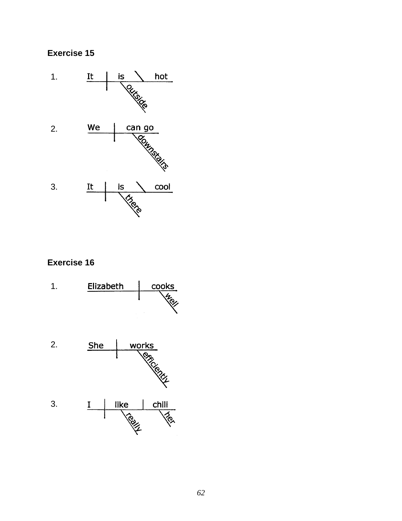

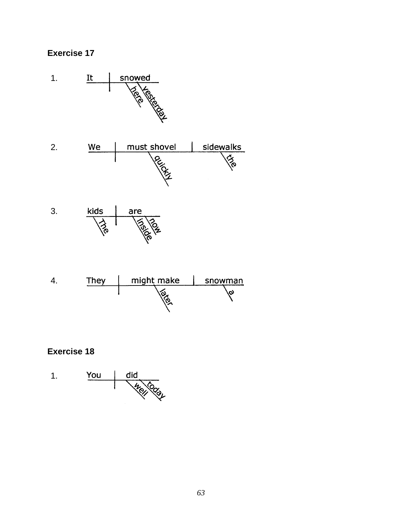







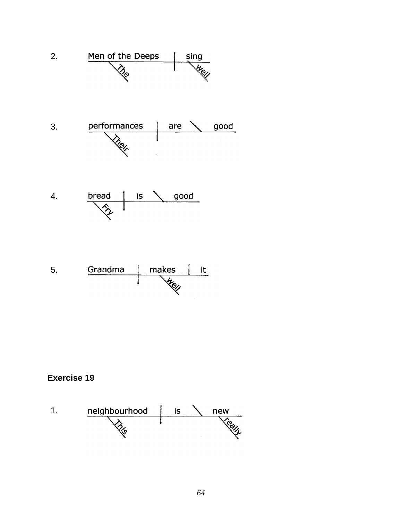



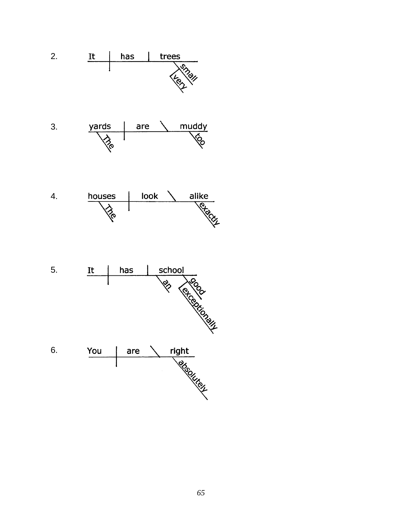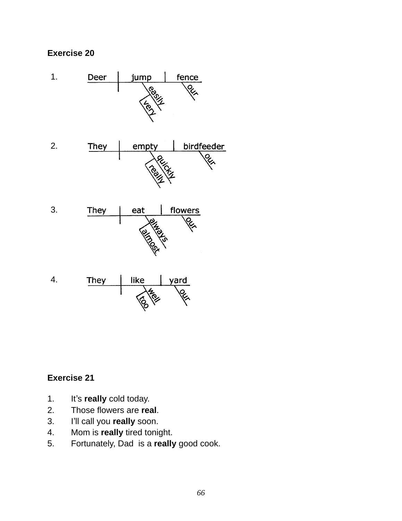

- 1. It's **really** cold today.
- 2. Those flowers are **real**.
- 3. I'll call you **really** soon.
- 4. Mom is **really** tired tonight.
- 5. Fortunately, Dad is a **really** good cook.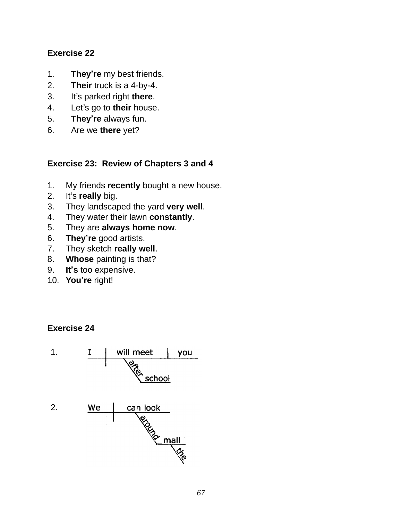- 1. **They're** my best friends.
- 2. **Their** truck is a 4-by-4.
- 3. It's parked right **there**.
- 4. Let's go to **their** house.
- 5. **They're** always fun.
- 6. Are we **there** yet?

### **Exercise 23: Review of Chapters 3 and 4**

- 1. My friends **recently** bought a new house.
- 2. It's **really** big.
- 3. They landscaped the yard **very well**.
- 4. They water their lawn **constantly**.
- 5. They are **always home now**.
- 6. **They're** good artists.
- 7. They sketch **really well**.
- 8. **Whose** painting is that?
- 9. **It's** too expensive.
- 10. **You're** right!

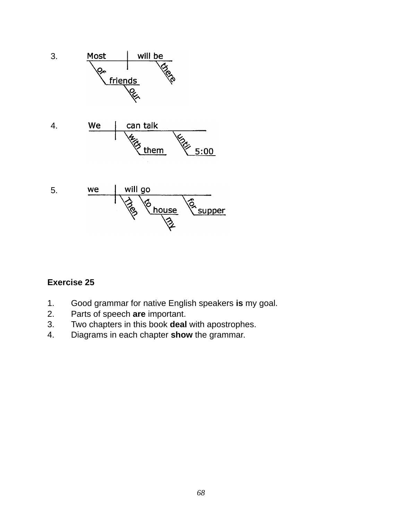

- 1. Good grammar for native English speakers **is** my goal.
- 2. Parts of speech **are** important.
- 3. Two chapters in this book **deal** with apostrophes.
- 4. Diagrams in each chapter **show** the grammar.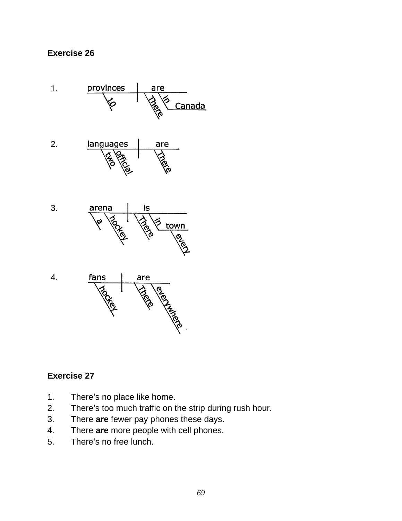

- 1. There's no place like home.
- 2. There's too much traffic on the strip during rush hour.
- 3. There **are** fewer pay phones these days.
- 4. There **are** more people with cell phones.
- 5. There's no free lunch.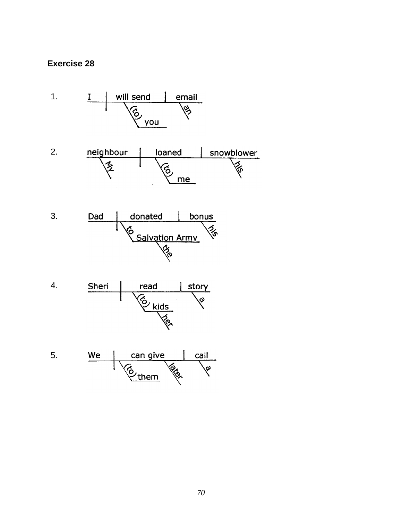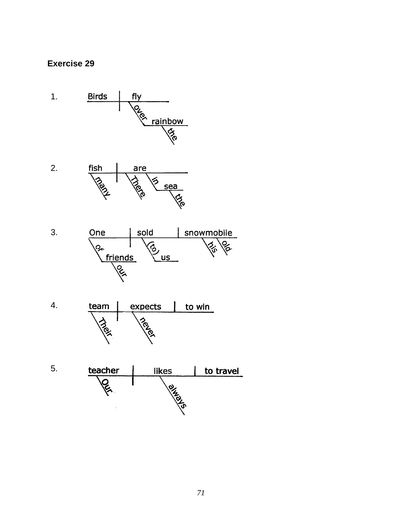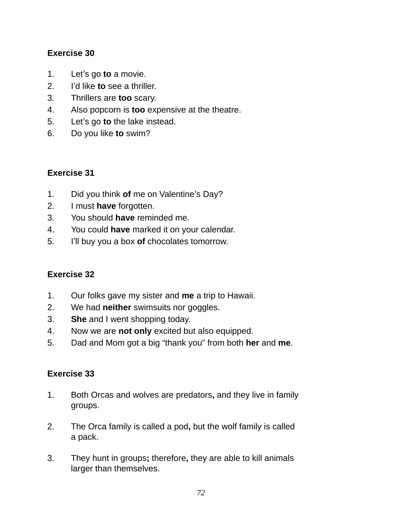- 1. Let's go **to** a movie.
- 2. I'd like **to** see a thriller.
- 3. Thrillers are **too** scary.
- 4. Also popcorn is **too** expensive at the theatre.
- 5. Let's go **to** the lake instead.
- 6. Do you like **to** swim?

## **Exercise 31**

- 1. Did you think **of** me on Valentine's Day?
- 2. I must **have** forgotten.
- 3. You should **have** reminded me.
- 4. You could **have** marked it on your calendar.
- 5. I'll buy you a box **of** chocolates tomorrow.

#### **Exercise 32**

- 1. Our folks gave my sister and **me** a trip to Hawaii.
- 2. We had **neither** swimsuits nor goggles.
- 3. **She** and I went shopping today.
- 4. Now we are **not only** excited but also equipped.
- 5. Dad and Mom got a big "thank you" from both **her** and **me**.

- 1. Both Orcas and wolves are predators**,** and they live in family groups.
- 2. The Orca family is called a pod**,** but the wolf family is called a pack.
- 3. They hunt in groups**;** therefore**,** they are able to kill animals larger than themselves.